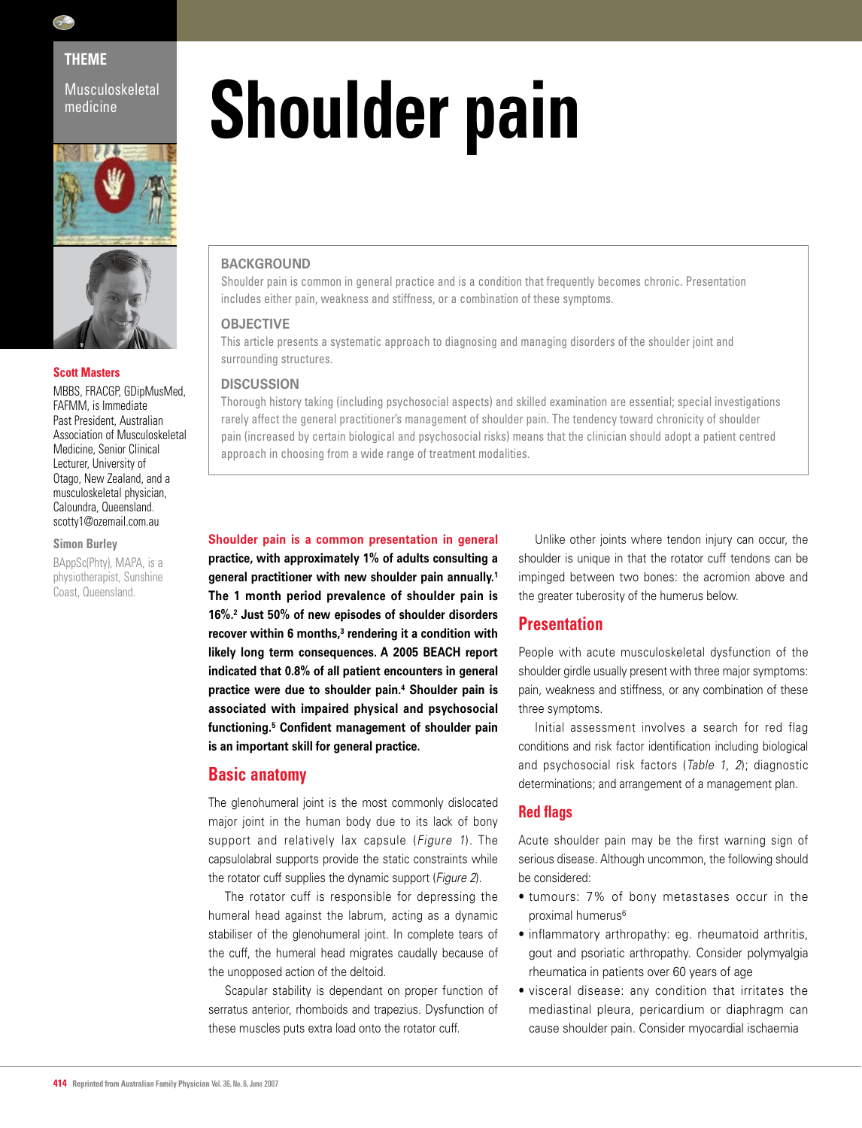

# **THEME**

Musculoskeletal medicine





## **Scott Masters**

MBBS, FRACGP, GDipMusMed, FAFMM, is Immediate Past President, Australian Association of Musculoskeletal Medicine, Senior Clinical Lecturer, University of Otago, New Zealand, and a musculoskeletal physician, Caloundra, Queensland. scotty1@ozemail.com.au

#### **Simon Burley**

BAppSc(Phty), MAPA, is a physiotherapist, Sunshine Coast, Queensland.

# **Shoulder pain**

## **BACKGROUND**

Shoulder pain is common in general practice and is a condition that frequently becomes chronic. Presentation includes either pain, weakness and stiffness, or a combination of these symptoms.

## **OBJECTIVE**

This article presents a systematic approach to diagnosing and managing disorders of the shoulder joint and surrounding structures.

#### **DISCUSSION**

Thorough history taking (including psychosocial aspects) and skilled examination are essential; special investigations rarely affect the general practitioner's management of shoulder pain. The tendency toward chronicity of shoulder pain (increased by certain biological and psychosocial risks) means that the clinician should adopt a patient centred approach in choosing from a wide range of treatment modalities.

#### **Shoulder pain is a common presentation in general**

**practice, with approximately 1% of adults consulting a general practitioner with new shoulder pain annually.1 The 1 month period prevalence of shoulder pain is 16%.2 Just 50% of new episodes of shoulder disorders**  recover within 6 months,<sup>3</sup> rendering it a condition with **likely long term consequences. A 2005 BEACH report indicated that 0.8% of all patient encounters in general practice were due to shoulder pain.4 Shoulder pain is associated with impaired physical and psychosocial functioning.5 Confident management of shoulder pain is an important skill for general practice.**

## **Basic anatomy**

The glenohumeral joint is the most commonly dislocated major joint in the human body due to its lack of bony support and relatively lax capsule (*Figure 1*). The capsulolabral supports provide the static constraints while the rotator cuff supplies the dynamic support (*Figure 2*).

The rotator cuff is responsible for depressing the humeral head against the labrum, acting as a dynamic stabiliser of the glenohumeral joint. In complete tears of the cuff, the humeral head migrates caudally because of the unopposed action of the deltoid.

Scapular stability is dependant on proper function of serratus anterior, rhomboids and trapezius. Dysfunction of these muscles puts extra load onto the rotator cuff.

Unlike other joints where tendon injury can occur, the shoulder is unique in that the rotator cuff tendons can be impinged between two bones: the acromion above and the greater tuberosity of the humerus below.

# **Presentation**

People with acute musculoskeletal dysfunction of the shoulder girdle usually present with three major symptoms: pain, weakness and stiffness, or any combination of these three symptoms.

Initial assessment involves a search for red flag conditions and risk factor identification including biological and psychosocial risk factors (*Table 1, 2*); diagnostic determinations; and arrangement of a management plan.

## **Red flags**

Acute shoulder pain may be the first warning sign of serious disease. Although uncommon, the following should be considered:

- tumours: 7% of bony metastases occur in the proximal humerus<sup>6</sup>
- inflammatory arthropathy: eg. rheumatoid arthritis, gout and psoriatic arthropathy. Consider polymyalgia rheumatica in patients over 60 years of age
- visceral disease: any condition that irritates the mediastinal pleura, pericardium or diaphragm can cause shoulder pain. Consider myocardial ischaemia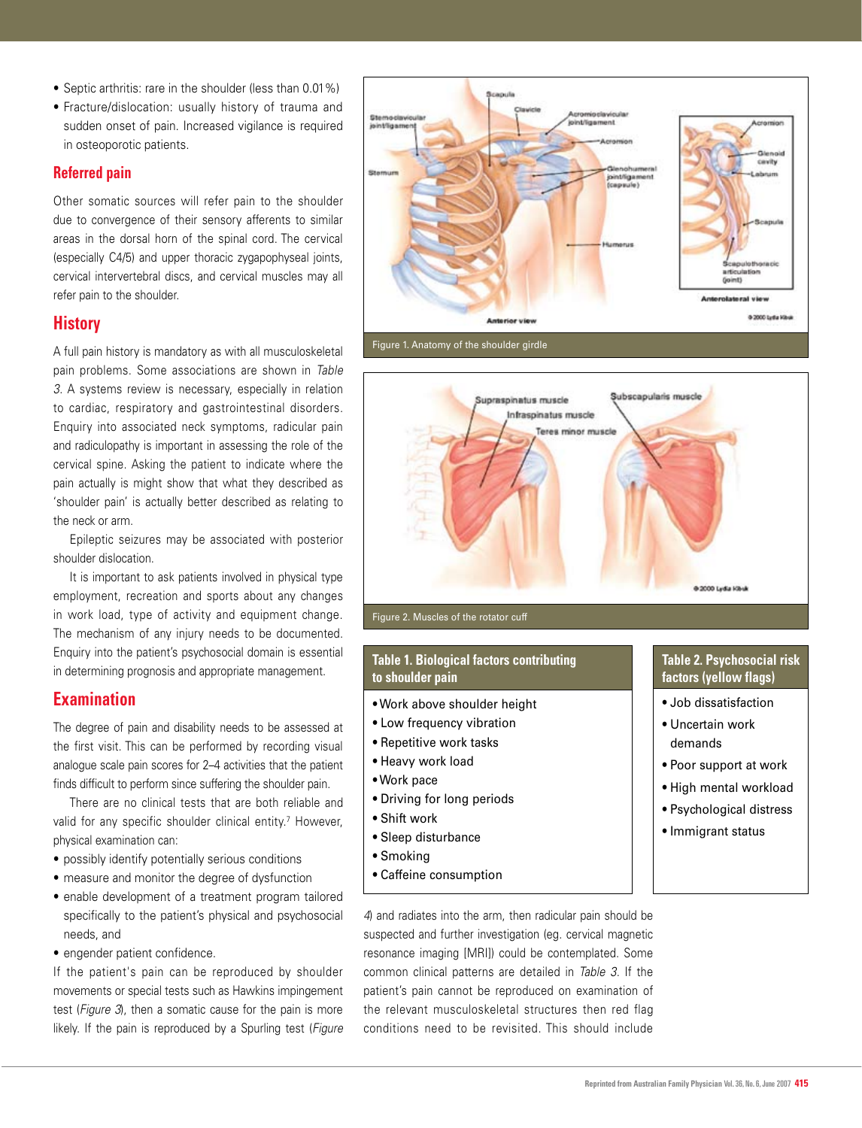- Septic arthritis: rare in the shoulder (less than 0.01%)
- Fracture/dislocation: usually history of trauma and sudden onset of pain. Increased vigilance is required in osteoporotic patients.

## **Referred pain**

Other somatic sources will refer pain to the shoulder due to convergence of their sensory afferents to similar areas in the dorsal horn of the spinal cord. The cervical (especially C4/5) and upper thoracic zygapophyseal joints, cervical intervertebral discs, and cervical muscles may all refer pain to the shoulder.

# **History**

A full pain history is mandatory as with all musculoskeletal pain problems. Some associations are shown in *Table 3*. A systems review is necessary, especially in relation to cardiac, respiratory and gastrointestinal disorders. Enquiry into associated neck symptoms, radicular pain and radiculopathy is important in assessing the role of the cervical spine. Asking the patient to indicate where the pain actually is might show that what they described as 'shoulder pain' is actually better described as relating to the neck or arm.

Epileptic seizures may be associated with posterior shoulder dislocation.

It is important to ask patients involved in physical type employment, recreation and sports about any changes in work load, type of activity and equipment change. The mechanism of any injury needs to be documented. Enquiry into the patient's psychosocial domain is essential in determining prognosis and appropriate management.

# **Examination**

The degree of pain and disability needs to be assessed at the first visit. This can be performed by recording visual analogue scale pain scores for 2–4 activities that the patient finds difficult to perform since suffering the shoulder pain.

There are no clinical tests that are both reliable and valid for any specific shoulder clinical entity.<sup>7</sup> However, physical examination can:

- possibly identify potentially serious conditions
- measure and monitor the degree of dysfunction
- enable development of a treatment program tailored specifically to the patient's physical and psychosocial needs, and
- engender patient confidence.

If the patient's pain can be reproduced by shoulder movements or special tests such as Hawkins impingement test (*Figure 3*), then a somatic cause for the pain is more likely. If the pain is reproduced by a Spurling test (*Figure* 





## **Table 1. Biological factors contributing to shoulder pain**

- Work above shoulder height
- Low frequency vibration
- Repetitive work tasks
- Heavy work load
- Work pace
- Driving for long periods
- Shift work
- Sleep disturbance
- Smoking
- Caffeine consumption

# **Table 2. Psychosocial risk factors (yellow flags)**

- Job dissatisfaction
- Uncertain work demands
- Poor support at work
- High mental workload
- Psychological distress
- Immigrant status

*4*) and radiates into the arm, then radicular pain should be suspected and further investigation (eg. cervical magnetic resonance imaging [MRI]) could be contemplated. Some common clinical patterns are detailed in *Table 3*. If the patient's pain cannot be reproduced on examination of the relevant musculoskeletal structures then red flag conditions need to be revisited. This should include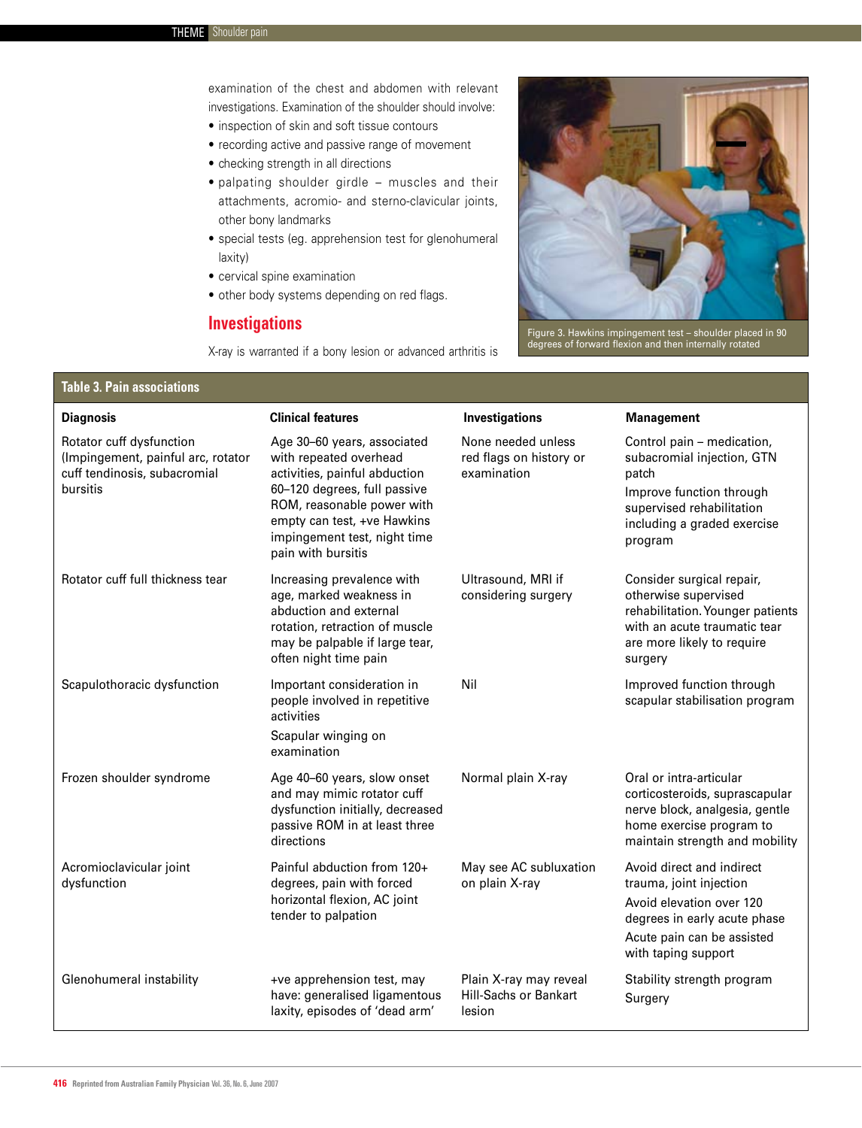examination of the chest and abdomen with relevant investigations. Examination of the shoulder should involve:

- inspection of skin and soft tissue contours
- recording active and passive range of movement
- checking strength in all directions
- palpating shoulder girdle muscles and their attachments, acromio- and sterno-clavicular joints, other bony landmarks
- special tests (eg. apprehension test for glenohumeral laxity)
- cervical spine examination
- other body systems depending on red flags.

# **Investigations**

X-ray is warranted if a bony lesion or advanced arthritis is



Figure 3. Hawkins impingement test – shoulder placed in 90 degrees of forward flexion and then internally rotated

### **Table 3. Pain associations**

| <b>Diagnosis</b>                                                                                           | <b>Clinical features</b>                                                                                                                                                                                                                  | Investigations                                               | <b>Management</b>                                                                                                                                                     |
|------------------------------------------------------------------------------------------------------------|-------------------------------------------------------------------------------------------------------------------------------------------------------------------------------------------------------------------------------------------|--------------------------------------------------------------|-----------------------------------------------------------------------------------------------------------------------------------------------------------------------|
| Rotator cuff dysfunction<br>(Impingement, painful arc, rotator<br>cuff tendinosis, subacromial<br>bursitis | Age 30-60 years, associated<br>with repeated overhead<br>activities, painful abduction<br>60-120 degrees, full passive<br>ROM, reasonable power with<br>empty can test, +ve Hawkins<br>impingement test, night time<br>pain with bursitis | None needed unless<br>red flags on history or<br>examination | Control pain - medication,<br>subacromial injection, GTN<br>patch<br>Improve function through<br>supervised rehabilitation<br>including a graded exercise<br>program  |
| Rotator cuff full thickness tear                                                                           | Increasing prevalence with<br>age, marked weakness in<br>abduction and external<br>rotation, retraction of muscle<br>may be palpable if large tear,<br>often night time pain                                                              | Ultrasound, MRI if<br>considering surgery                    | Consider surgical repair,<br>otherwise supervised<br>rehabilitation. Younger patients<br>with an acute traumatic tear<br>are more likely to require<br>surgery        |
| Scapulothoracic dysfunction                                                                                | Important consideration in<br>people involved in repetitive<br>activities<br>Scapular winging on<br>examination                                                                                                                           | Nil                                                          | Improved function through<br>scapular stabilisation program                                                                                                           |
| Frozen shoulder syndrome                                                                                   | Age 40-60 years, slow onset<br>and may mimic rotator cuff<br>dysfunction initially, decreased<br>passive ROM in at least three<br>directions                                                                                              | Normal plain X-ray                                           | Oral or intra-articular<br>corticosteroids, suprascapular<br>nerve block, analgesia, gentle<br>home exercise program to<br>maintain strength and mobility             |
| Acromioclavicular joint<br>dysfunction                                                                     | Painful abduction from 120+<br>degrees, pain with forced<br>horizontal flexion, AC joint<br>tender to palpation                                                                                                                           | May see AC subluxation<br>on plain X-ray                     | Avoid direct and indirect<br>trauma, joint injection<br>Avoid elevation over 120<br>degrees in early acute phase<br>Acute pain can be assisted<br>with taping support |
| Glenohumeral instability                                                                                   | +ve apprehension test, may<br>have: generalised ligamentous<br>laxity, episodes of 'dead arm'                                                                                                                                             | Plain X-ray may reveal<br>Hill-Sachs or Bankart<br>lesion    | Stability strength program<br>Surgery                                                                                                                                 |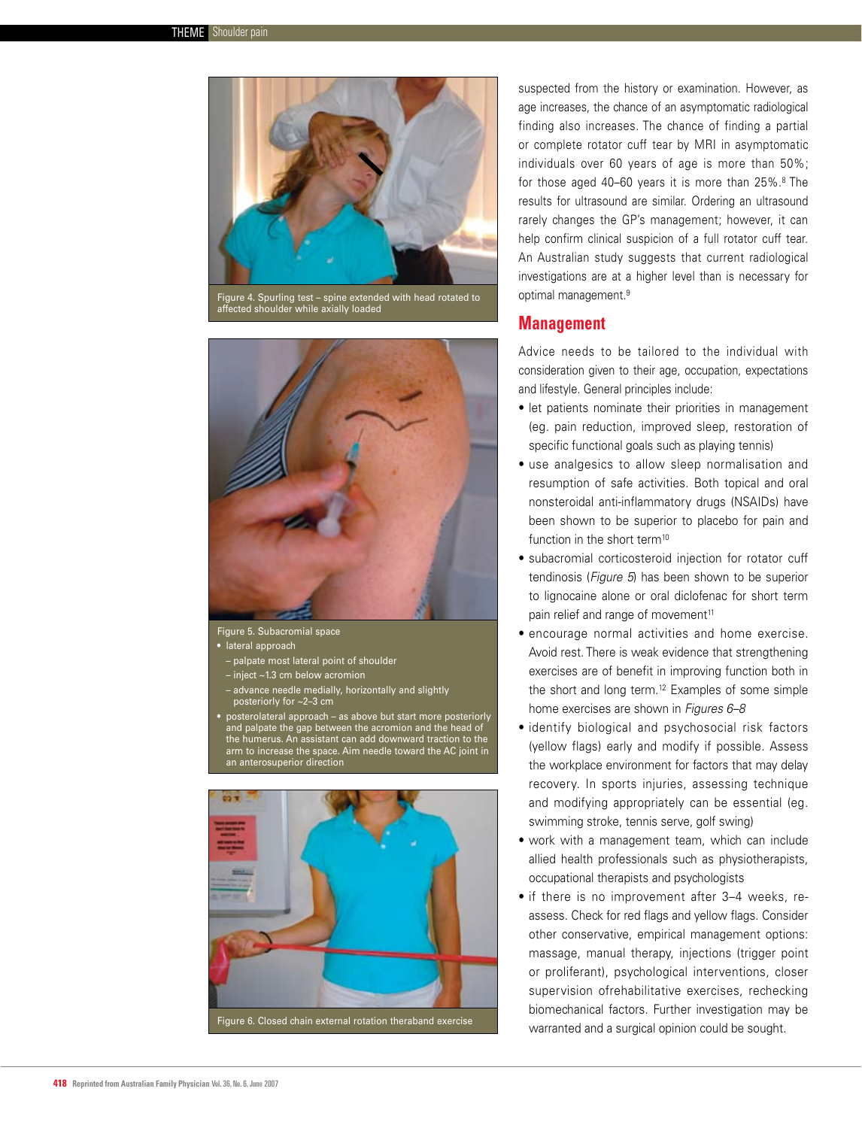

affected shoulder while axially loaded



Figure 5. Subacromial space

- lateral approach
- palpate most lateral point of shoulder
- inject ~1.3 cm below acromion
- advance needle medially, horizontally and slightly posteriorly for ~2–3 cm
- posterolateral approach as above but start more posteriorly and palpate the gap between the acromion and the head of the humerus. An assistant can add downward traction to the arm to increase the space. Aim needle toward the AC joint in an anterosuperior direction



suspected from the history or examination. However, as age increases, the chance of an asymptomatic radiological finding also increases. The chance of finding a partial or complete rotator cuff tear by MRI in asymptomatic individuals over 60 years of age is more than 50%; for those aged 40–60 years it is more than 25%.8 The results for ultrasound are similar. Ordering an ultrasound rarely changes the GP's management; however, it can help confirm clinical suspicion of a full rotator cuff tear. An Australian study suggests that current radiological investigations are at a higher level than is necessary for optimal management.9

## **Management**

Advice needs to be tailored to the individual with consideration given to their age, occupation, expectations and lifestyle. General principles include:

- let patients nominate their priorities in management (eg. pain reduction, improved sleep, restoration of specific functional goals such as playing tennis)
- use analgesics to allow sleep normalisation and resumption of safe activities. Both topical and oral nonsteroidal anti-inflammatory drugs (NSAIDs) have been shown to be superior to placebo for pain and function in the short term<sup>10</sup>
- subacromial corticosteroid injection for rotator cuff tendinosis (*Figure 5*) has been shown to be superior to lignocaine alone or oral diclofenac for short term pain relief and range of movement<sup>11</sup>
- encourage normal activities and home exercise. Avoid rest. There is weak evidence that strengthening exercises are of benefit in improving function both in the short and long term.12 Examples of some simple home exercises are shown in *Figures 6–8*
- identify biological and psychosocial risk factors (yellow flags) early and modify if possible. Assess the workplace environment for factors that may delay recovery. In sports injuries, assessing technique and modifying appropriately can be essential (eg. swimming stroke, tennis serve, golf swing)
- work with a management team, which can include allied health professionals such as physiotherapists, occupational therapists and psychologists
- if there is no improvement after 3–4 weeks, reassess. Check for red flags and yellow flags. Consider other conservative, empirical management options: massage, manual therapy, injections (trigger point or proliferant), psychological interventions, closer supervision ofrehabilitative exercises, rechecking biomechanical factors. Further investigation may be warranted and a surgical opinion could be sought.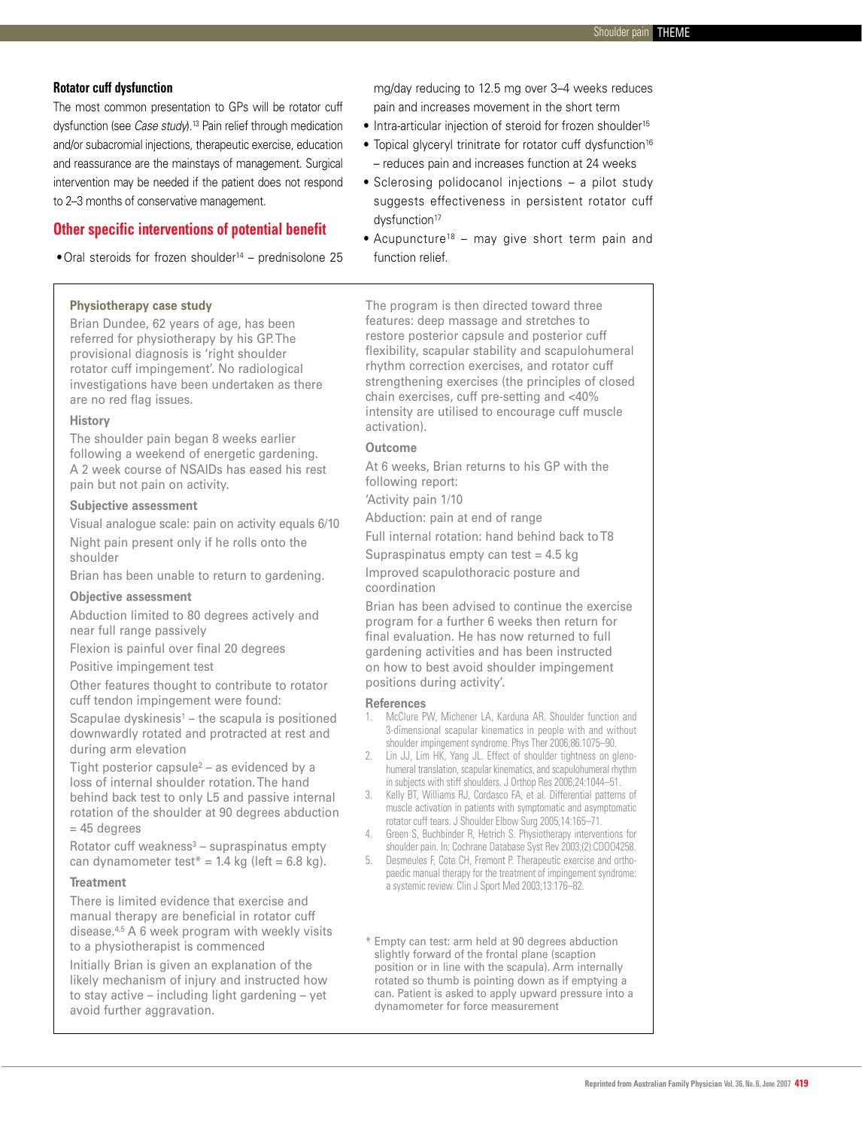## **Rotator cuff dysfunction**

The most common presentation to GPs will be rotator cuff dysfunction (see *Case study*).13 Pain relief through medication and/or subacromial injections, therapeutic exercise, education and reassurance are the mainstays of management. Surgical intervention may be needed if the patient does not respond to 2–3 months of conservative management.

# **Other specific interventions of potential benefit**

 $\bullet$  Oral steroids for frozen shoulder<sup>14</sup> – prednisolone 25

#### **Physiotherapy case study**

Brian Dundee, 62 years of age, has been referred for physiotherapy by his GP. The provisional diagnosis is 'right shoulder rotator cuff impingement'. No radiological investigations have been undertaken as there are no red flag issues.

#### **History**

The shoulder pain began 8 weeks earlier following a weekend of energetic gardening. A 2 week course of NSAIDs has eased his rest pain but not pain on activity.

#### **Subjective assessment**

Visual analogue scale: pain on activity equals 6/10 Night pain present only if he rolls onto the shoulder

Brian has been unable to return to gardening.

#### **Objective assessment**

Abduction limited to 80 degrees actively and near full range passively

Flexion is painful over final 20 degrees

Positive impingement test

Other features thought to contribute to rotator cuff tendon impingement were found:

Scapulae dyskinesis $1 -$  the scapula is positioned downwardly rotated and protracted at rest and during arm elevation

Tight posterior capsule<sup>2</sup> – as evidenced by a loss of internal shoulder rotation. The hand behind back test to only L5 and passive internal rotation of the shoulder at 90 degrees abduction  $= 45$  degrees

Rotator cuff weakness $3 -$  supraspinatus empty can dynamometer test $* = 1.4$  kg (left = 6.8 kg).

#### **Treatment**

There is limited evidence that exercise and manual therapy are beneficial in rotator cuff disease.4,5 A 6 week program with weekly visits to a physiotherapist is commenced

Initially Brian is given an explanation of the likely mechanism of injury and instructed how to stay active – including light gardening – yet avoid further aggravation.

mg/day reducing to 12.5 mg over 3–4 weeks reduces pain and increases movement in the short term

- Intra-articular injection of steroid for frozen shoulder<sup>15</sup>
- Topical glyceryl trinitrate for rotator cuff dysfunction<sup>16</sup> – reduces pain and increases function at 24 weeks
- Sclerosing polidocanol injections a pilot study suggests effectiveness in persistent rotator cuff dysfunction<sup>17</sup>
- Acupuncture<sup>18</sup> may give short term pain and function relief.

The program is then directed toward three features: deep massage and stretches to restore posterior capsule and posterior cuff flexibility, scapular stability and scapulohumeral rhythm correction exercises, and rotator cuff strengthening exercises (the principles of closed chain exercises, cuff pre-setting and <40% intensity are utilised to encourage cuff muscle activation).

## **Outcome**

At 6 weeks, Brian returns to his GP with the following report:

'Activity pain 1/10

Abduction: pain at end of range

Full internal rotation: hand behind back to T8 Supraspinatus empty can test  $= 4.5$  kg Improved scapulothoracic posture and

coordination

Brian has been advised to continue the exercise program for a further 6 weeks then return for final evaluation. He has now returned to full gardening activities and has been instructed on how to best avoid shoulder impingement positions during activity'.

#### **References**

- McClure PW, Michener LA, Karduna AR. Shoulder function and 3-dimensional scapular kinematics in people with and without shoulder impingement syndrome. Phys Ther 2006;86:1075–90.
- 2. Lin JJ, Lim HK, Yang JL. Effect of shoulder tightness on glenohumeral translation, scapular kinematics, and scapulohumeral rhythm in subjects with stiff shoulders. J Orthop Res 2006;24:1044–51.
- 3. Kelly BT, Williams RJ, Cordasco FA, et al. Differential patterns of muscle activation in patients with symptomatic and asymptomatic rotator cuff tears. J Shoulder Elbow Surg 2005;14:165–71.
- 4. Green S, Buchbinder R, Hetrich S. Physiotherapy interventions for shoulder pain. In: Cochrane Database Syst Rev 2003;(2):CDOO4258.
- 5. Desmeules F, Cote CH, Fremont P. Therapeutic exercise and orthopaedic manual therapy for the treatment of impingement syndrome: a systemic review. Clin J Sport Med 2003;13:176–82.

\* Empty can test: arm held at 90 degrees abduction slightly forward of the frontal plane (scaption position or in line with the scapula). Arm internally rotated so thumb is pointing down as if emptying a can. Patient is asked to apply upward pressure into a dynamometer for force measurement